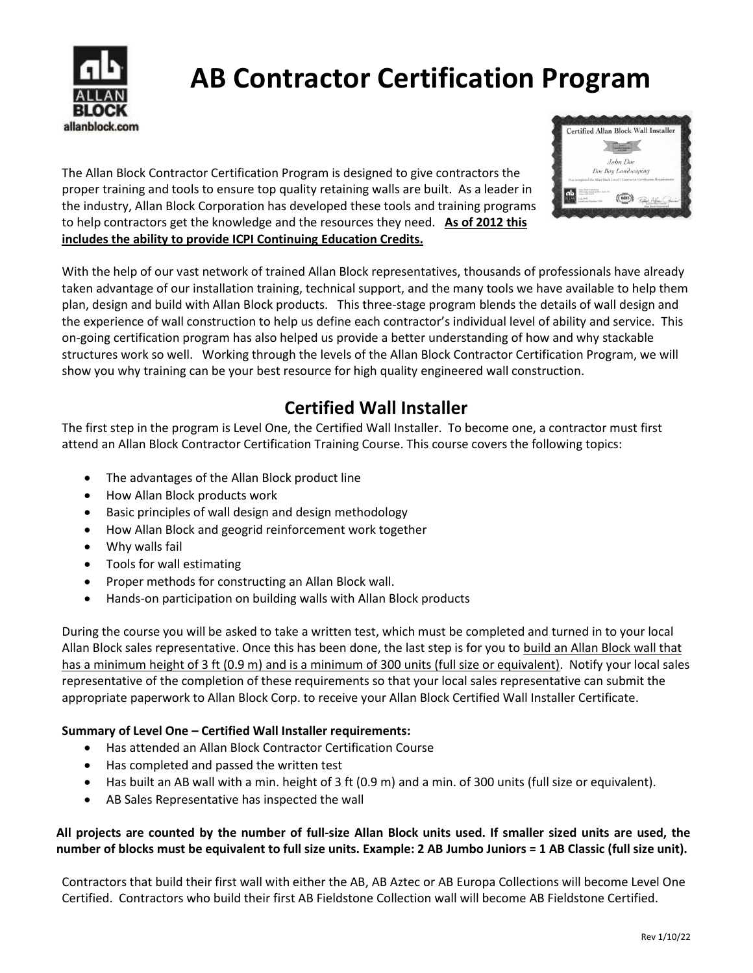

# **AB Contractor Certification Program**

The Allan Block Contractor Certification Program is designed to give contractors the proper training and tools to ensure top quality retaining walls are built. As a leader in the industry, Allan Block Corporation has developed these tools and training programs to help contractors get the knowledge and the resources they need. **As of 2012 this includes the ability to provide ICPI Continuing Education Credits.**



With the help of our vast network of trained Allan Block representatives, thousands of professionals have already taken advantage of our installation training, technical support, and the many tools we have available to help them plan, design and build with Allan Block products. This three-stage program blends the details of wall design and the experience of wall construction to help us define each contractor's individual level of ability and service. This on-going certification program has also helped us provide a better understanding of how and why stackable structures work so well. Working through the levels of the Allan Block Contractor Certification Program, we will show you why training can be your best resource for high quality engineered wall construction.

### **Certified Wall Installer**

The first step in the program is Level One, the Certified Wall Installer. To become one, a contractor must first attend an Allan Block Contractor Certification Training Course. This course covers the following topics:

- The advantages of the Allan Block product line
- How Allan Block products work
- Basic principles of wall design and design methodology
- How Allan Block and geogrid reinforcement work together
- Why walls fail
- Tools for wall estimating
- Proper methods for constructing an Allan Block wall.
- Hands-on participation on building walls with Allan Block products

During the course you will be asked to take a written test, which must be completed and turned in to your local Allan Block sales representative. Once this has been done, the last step is for you to build an Allan Block wall that has a minimum height of 3 ft (0.9 m) and is a minimum of 300 units (full size or equivalent). Notify your local sales representative of the completion of these requirements so that your local sales representative can submit the appropriate paperwork to Allan Block Corp. to receive your Allan Block Certified Wall Installer Certificate.

#### **Summary of Level One – Certified Wall Installer requirements:**

- Has attended an Allan Block Contractor Certification Course
- Has completed and passed the written test
- Has built an AB wall with a min. height of 3 ft (0.9 m) and a min. of 300 units (full size or equivalent).
- AB Sales Representative has inspected the wall

#### **All projects are counted by the number of full-size Allan Block units used. If smaller sized units are used, the number of blocks must be equivalent to full size units. Example: 2 AB Jumbo Juniors = 1 AB Classic (full size unit).**

Contractors that build their first wall with either the AB, AB Aztec or AB Europa Collections will become Level One Certified. Contractors who build their first AB Fieldstone Collection wall will become AB Fieldstone Certified.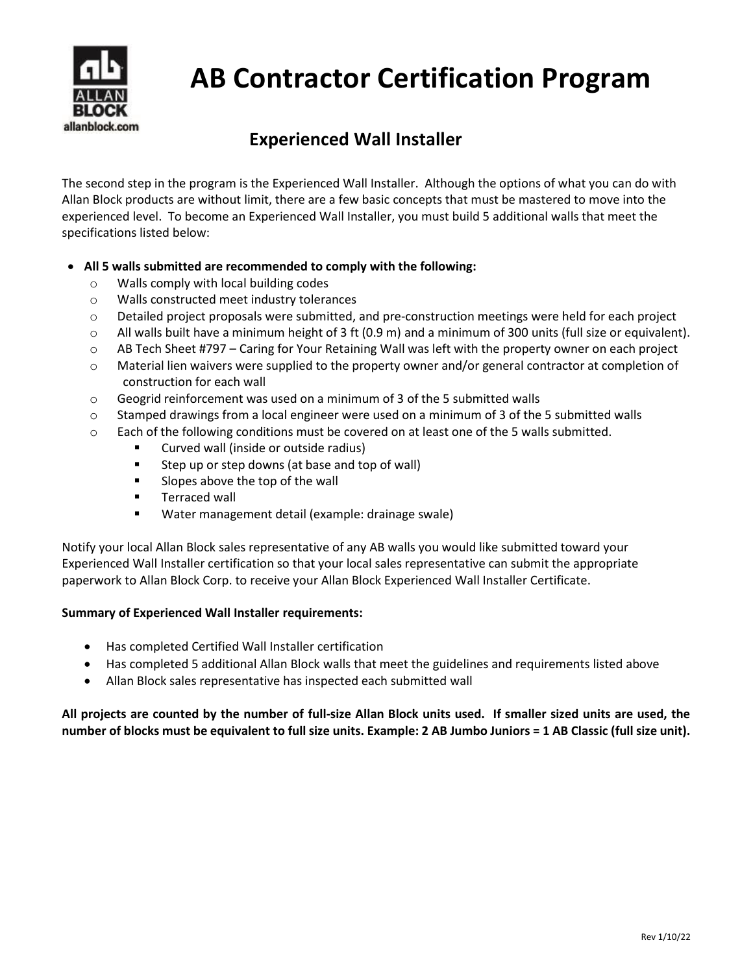

# **AB Contractor Certification Program**

### **Experienced Wall Installer**

The second step in the program is the Experienced Wall Installer. Although the options of what you can do with Allan Block products are without limit, there are a few basic concepts that must be mastered to move into the experienced level. To become an Experienced Wall Installer, you must build 5 additional walls that meet the specifications listed below:

- **All 5 walls submitted are recommended to comply with the following:**
	- o Walls comply with local building codes
	- o Walls constructed meet industry tolerances
	- o Detailed project proposals were submitted, and pre-construction meetings were held for each project
	- $\circ$  All walls built have a minimum height of 3 ft (0.9 m) and a minimum of 300 units (full size or equivalent).
	- o AB Tech Sheet #797 Caring for Your Retaining Wall was left with the property owner on each project
	- $\circ$  Material lien waivers were supplied to the property owner and/or general contractor at completion of construction for each wall
	- $\circ$  Geogrid reinforcement was used on a minimum of 3 of the 5 submitted walls
	- $\circ$  Stamped drawings from a local engineer were used on a minimum of 3 of the 5 submitted walls
	- $\circ$  Each of the following conditions must be covered on at least one of the 5 walls submitted.
		- Curved wall (inside or outside radius)
		- Step up or step downs (at base and top of wall)
		- Slopes above the top of the wall
		- Terraced wall
		- Water management detail (example: drainage swale)

Notify your local Allan Block sales representative of any AB walls you would like submitted toward your Experienced Wall Installer certification so that your local sales representative can submit the appropriate paperwork to Allan Block Corp. to receive your Allan Block Experienced Wall Installer Certificate.

#### **Summary of Experienced Wall Installer requirements:**

- Has completed Certified Wall Installer certification
- Has completed 5 additional Allan Block walls that meet the guidelines and requirements listed above
- Allan Block sales representative has inspected each submitted wall

#### **All projects are counted by the number of full-size Allan Block units used. If smaller sized units are used, the number of blocks must be equivalent to full size units. Example: 2 AB Jumbo Juniors = 1 AB Classic (full size unit).**